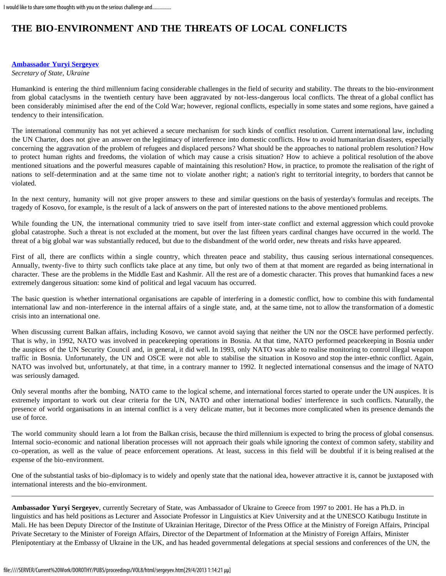## **THE BIO-ENVIRONMENT AND THE THREATS OF LOCAL CONFLICTS**

## **[Ambassador Yuryi Sergeyev](#page-0-0)**

*Secretary of State, Ukraine*

Humankind is entering the third millennium facing considerable challenges in the field of security and stability. The threats to the bio-environment from global cataclysms in the twentieth century have been aggravated by not-less-dangerous local conflicts. The threat of a global conflict has been considerably minimised after the end of the Cold War; however, regional conflicts, especially in some states and some regions, have gained a tendency to their intensification.

The international community has not yet achieved a secure mechanism for such kinds of conflict resolution. Current international law, including the UN Charter, does not give an answer on the legitimacy of interference into domestic conflicts. How to avoid humanitarian disasters, especially concerning the aggravation of the problem of refugees and displaced persons? What should be the approaches to national problem resolution? How to protect human rights and freedoms, the violation of which may cause a crisis situation? How to achieve a political resolution of the above mentioned situations and the powerful measures capable of maintaining this resolution? How, in practice, to promote the realisation of the right of nations to self-determination and at the same time not to violate another right; a nation's right to territorial integrity, to borders that cannot be violated.

In the next century, humanity will not give proper answers to these and similar questions on the basis of yesterday's formulas and receipts. The tragedy of Kosovo, for example, is the result of a lack of answers on the part of interested nations to the above mentioned problems.

While founding the UN, the international community tried to save itself from inter-state conflict and external aggression which could provoke global catastrophe. Such a threat is not excluded at the moment, but over the last fifteen years cardinal changes have occurred in the world. The threat of a big global war was substantially reduced, but due to the disbandment of the world order, new threats and risks have appeared.

First of all, there are conflicts within a single country, which threaten peace and stability, thus causing serious international consequences. Annually, twenty-five to thirty such conflicts take place at any time, but only two of them at that moment are regarded as being international in character. These are the problems in the Middle East and Kashmir. All the rest are of a domestic character. This proves that humankind faces a new extremely dangerous situation: some kind of political and legal vacuum has occurred.

The basic question is whether international organisations are capable of interfering in a domestic conflict, how to combine this with fundamental international law and non-interference in the internal affairs of a single state, and, at the same time, not to allow the transformation of a domestic crisis into an international one.

When discussing current Balkan affairs, including Kosovo, we cannot avoid saying that neither the UN nor the OSCE have performed perfectly. That is why, in 1992, NATO was involved in peacekeeping operations in Bosnia. At that time, NATO performed peacekeeping in Bosnia under the auspices of the UN Security Council and, in general, it did well. In 1993, only NATO was able to realise monitoring to control illegal weapon traffic in Bosnia. Unfortunately, the UN and OSCE were not able to stabilise the situation in Kosovo and stop the inter-ethnic conflict. Again, NATO was involved but, unfortunately, at that time, in a contrary manner to 1992. It neglected international consensus and the image of NATO was seriously damaged.

Only several months after the bombing, NATO came to the logical scheme, and international forces started to operate under the UN auspices. It is extremely important to work out clear criteria for the UN, NATO and other international bodies' interference in such conflicts. Naturally, the presence of world organisations in an internal conflict is a very delicate matter, but it becomes more complicated when its presence demands the use of force.

The world community should learn a lot from the Balkan crisis, because the third millennium is expected to bring the process of global consensus. Internal socio-economic and national liberation processes will not approach their goals while ignoring the context of common safety, stability and co-operation, as well as the value of peace enforcement operations. At least, success in this field will be doubtful if it is being realised at the expense of the bio-environment.

One of the substantial tasks of bio-diplomacy is to widely and openly state that the national idea, however attractive it is, cannot be juxtaposed with international interests and the bio-environment.

<span id="page-0-0"></span>**Ambassador Yuryi Sergeyev**, currently Secretary of State, was Ambassador of Ukraine to Greece from 1997 to 2001. He has a Ph.D. in linguistics and has held positions as Lecturer and Associate Professor in Linguistics at Kiev University and at the UNESCO Katibugu Institute in Mali. He has been Deputy Director of the Institute of Ukrainian Heritage, Director of the Press Office at the Ministry of Foreign Affairs, Principal Private Secretary to the Minister of Foreign Affairs, Director of the Department of Information at the Ministry of Foreign Affairs, Minister Plenipotentiary at the Embassy of Ukraine in the UK, and has headed governmental delegations at special sessions and conferences of the UN, the